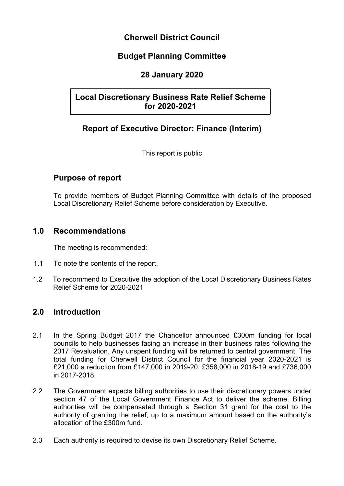# **Cherwell District Council**

# **Budget Planning Committee**

# **28 January 2020**

# **Local Discretionary Business Rate Relief Scheme for 2020-2021**

# **Report of Executive Director: Finance (Interim)**

This report is public

# **Purpose of report**

To provide members of Budget Planning Committee with details of the proposed Local Discretionary Relief Scheme before consideration by Executive.

# **1.0 Recommendations**

The meeting is recommended:

- 1.1 To note the contents of the report.
- 1.2 To recommend to Executive the adoption of the Local Discretionary Business Rates Relief Scheme for 2020-2021

# **2.0 Introduction**

- 2.1 In the Spring Budget 2017 the Chancellor announced £300m funding for local councils to help businesses facing an increase in their business rates following the 2017 Revaluation. Any unspent funding will be returned to central government. The total funding for Cherwell District Council for the financial year 2020-2021 is £21,000 a reduction from £147,000 in 2019-20, £358,000 in 2018-19 and £736,000 in 2017-2018.
- 2.2 The Government expects billing authorities to use their discretionary powers under section 47 of the Local Government Finance Act to deliver the scheme. Billing authorities will be compensated through a Section 31 grant for the cost to the authority of granting the relief, up to a maximum amount based on the authority's allocation of the £300m fund.
- 2.3 Each authority is required to devise its own Discretionary Relief Scheme.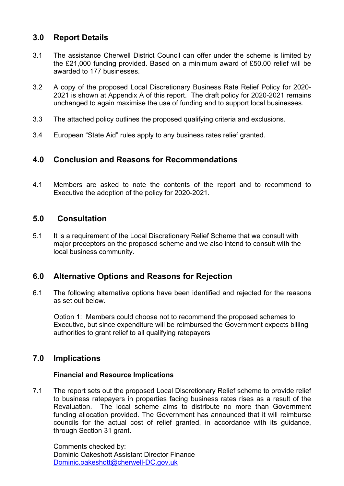# **3.0 Report Details**

- 3.1 The assistance Cherwell District Council can offer under the scheme is limited by the £21,000 funding provided. Based on a minimum award of £50.00 relief will be awarded to 177 businesses.
- 3.2 A copy of the proposed Local Discretionary Business Rate Relief Policy for 2020- 2021 is shown at Appendix A of this report. The draft policy for 2020-2021 remains unchanged to again maximise the use of funding and to support local businesses.
- 3.3 The attached policy outlines the proposed qualifying criteria and exclusions.
- 3.4 European "State Aid" rules apply to any business rates relief granted.

# **4.0 Conclusion and Reasons for Recommendations**

4.1 Members are asked to note the contents of the report and to recommend to Executive the adoption of the policy for 2020-2021.

### **5.0 Consultation**

5.1 It is a requirement of the Local Discretionary Relief Scheme that we consult with major preceptors on the proposed scheme and we also intend to consult with the local business community.

# **6.0 Alternative Options and Reasons for Rejection**

6.1 The following alternative options have been identified and rejected for the reasons as set out below.

 Option 1: Members could choose not to recommend the proposed schemes to Executive, but since expenditure will be reimbursed the Government expects billing authorities to grant relief to all qualifying ratepayers

# **7.0 Implications**

### **Financial and Resource Implications**

7.1 The report sets out the proposed Local Discretionary Relief scheme to provide relief to business ratepayers in properties facing business rates rises as a result of the Revaluation. The local scheme aims to distribute no more than Government funding allocation provided. The Government has announced that it will reimburse councils for the actual cost of relief granted, in accordance with its guidance, through Section 31 grant.

Comments checked by: Dominic Oakeshott Assistant Director Finance [Dominic.oakeshott@cherwell-DC.gov.uk](mailto:Dominic.oakeshott@cherwell-dc.gov.uk)